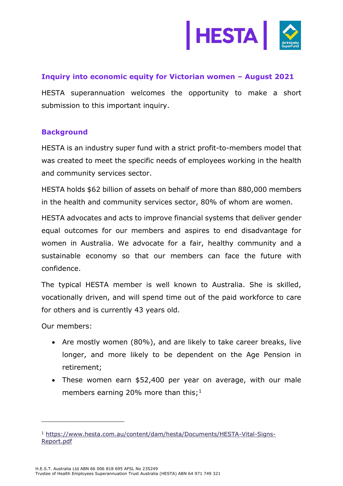

## **Inquiry into economic equity for Victorian women – August 2021**

HESTA superannuation welcomes the opportunity to make a short submission to this important inquiry.

### **Background**

HESTA is an industry super fund with a strict profit-to-members model that was created to meet the specific needs of employees working in the health and community services sector.

HESTA holds \$62 billion of assets on behalf of more than 880,000 members in the health and community services sector, 80% of whom are women.

HESTA advocates and acts to improve financial systems that deliver gender equal outcomes for our members and aspires to end disadvantage for women in Australia. We advocate for a fair, healthy community and a sustainable economy so that our members can face the future with confidence.

The typical HESTA member is well known to Australia. She is skilled, vocationally driven, and will spend time out of the paid workforce to care for others and is currently 43 years old.

Our members:

- Are mostly women (80%), and are likely to take career breaks, live longer, and more likely to be dependent on the Age Pension in retirement;
- These women earn \$52,400 per year on average, with our male members earning 20% more than this;<sup>1</sup>

<sup>1</sup> [https://www.hesta.com.au/content/dam/hesta/Documents/HESTA-Vital-Signs-](https://www.hesta.com.au/content/dam/hesta/Documents/HESTA-Vital-Signs-Report.pdf)[Report.pdf](https://www.hesta.com.au/content/dam/hesta/Documents/HESTA-Vital-Signs-Report.pdf)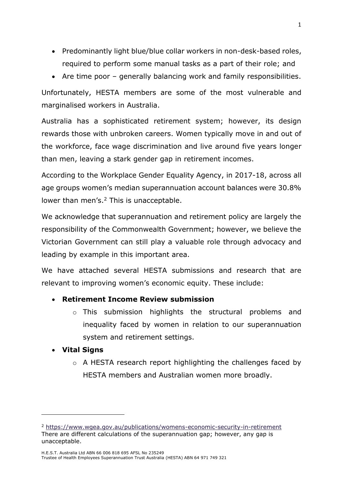- Predominantly light blue/blue collar workers in non-desk-based roles, required to perform some manual tasks as a part of their role; and
- Are time poor generally balancing work and family responsibilities.

Unfortunately, HESTA members are some of the most vulnerable and marginalised workers in Australia.

Australia has a sophisticated retirement system; however, its design rewards those with unbroken careers. Women typically move in and out of the workforce, face wage discrimination and live around five years longer than men, leaving a stark gender gap in retirement incomes.

According to the Workplace Gender Equality Agency, in 2017-18, across all age groups women's median superannuation account balances were 30.8% lower than men's.<sup>2</sup> This is unacceptable.

We acknowledge that superannuation and retirement policy are largely the responsibility of the Commonwealth Government; however, we believe the Victorian Government can still play a valuable role through advocacy and leading by example in this important area.

We have attached several HESTA submissions and research that are relevant to improving women's economic equity. These include:

## • **Retirement Income Review submission**

o This submission highlights the structural problems and inequality faced by women in relation to our superannuation system and retirement settings.

### • **Vital Signs**

o A HESTA research report highlighting the challenges faced by HESTA members and Australian women more broadly.

<sup>2</sup> <https://www.wgea.gov.au/publications/womens-economic-security-in-retirement> There are different calculations of the superannuation gap; however, any gap is unacceptable.